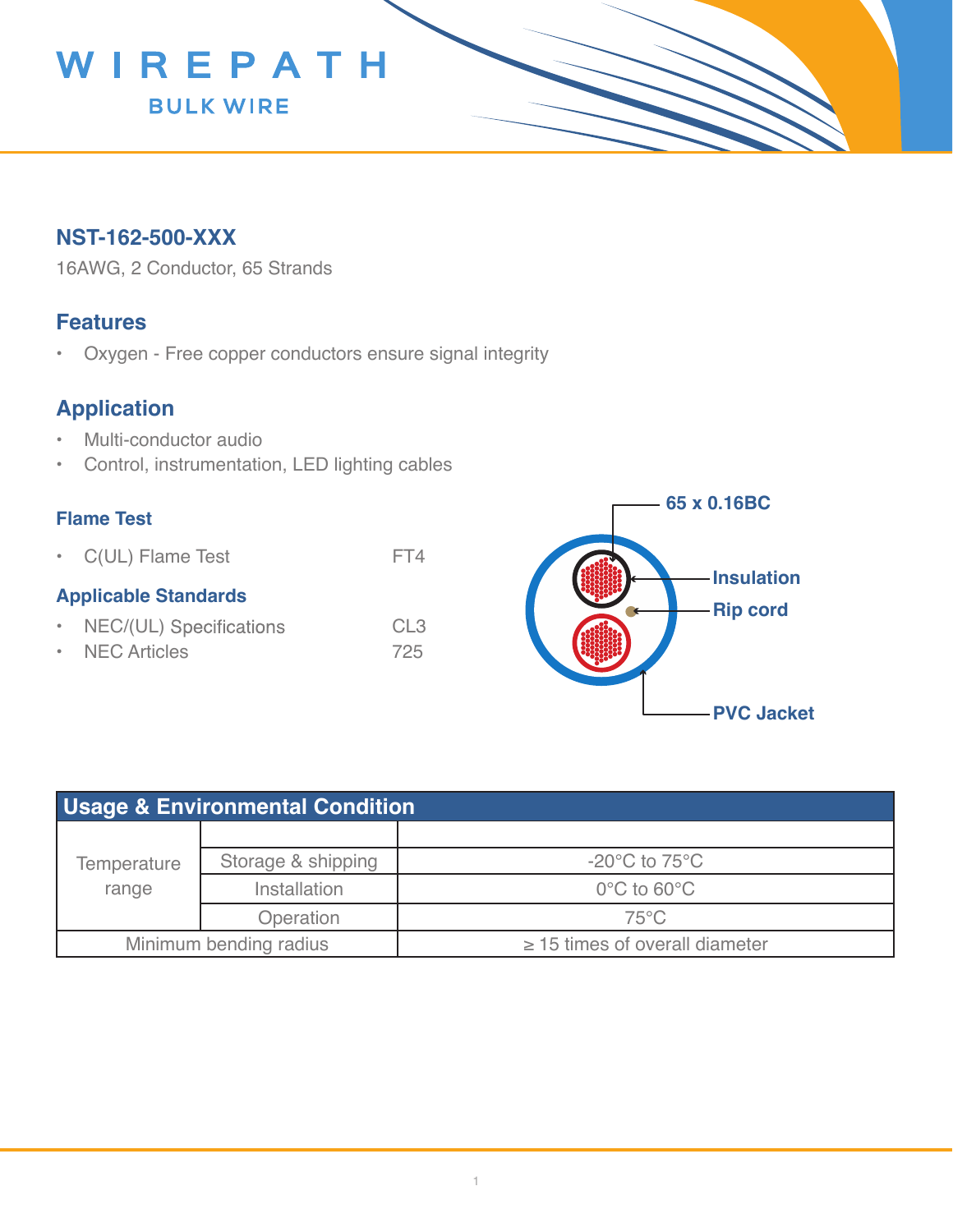

## **NST-162-500-XXX**

16AWG, 2 Conductor, 65 Strands

### **Features**

• Oxygen - Free copper conductors ensure signal integrity

# **Application**

- Multi-conductor audio
- Control, instrumentation, LED lighting cables

#### **Flame Test**

• C(UL) Flame Test FT4

#### **Applicable Standards**

- NEC/(UL) Specifications CL3
- NEC Articles 725



| <b>Usage &amp; Environmental Condition</b> |                    |                                     |  |  |
|--------------------------------------------|--------------------|-------------------------------------|--|--|
| Temperature<br>range                       |                    |                                     |  |  |
|                                            | Storage & shipping | $-20^{\circ}$ C to 75 $^{\circ}$ C  |  |  |
|                                            | Installation       | $0^{\circ}$ C to 60 $^{\circ}$ C    |  |  |
|                                            | Operation          | $75^{\circ}$ C                      |  |  |
| Minimum bending radius                     |                    | $\geq$ 15 times of overall diameter |  |  |